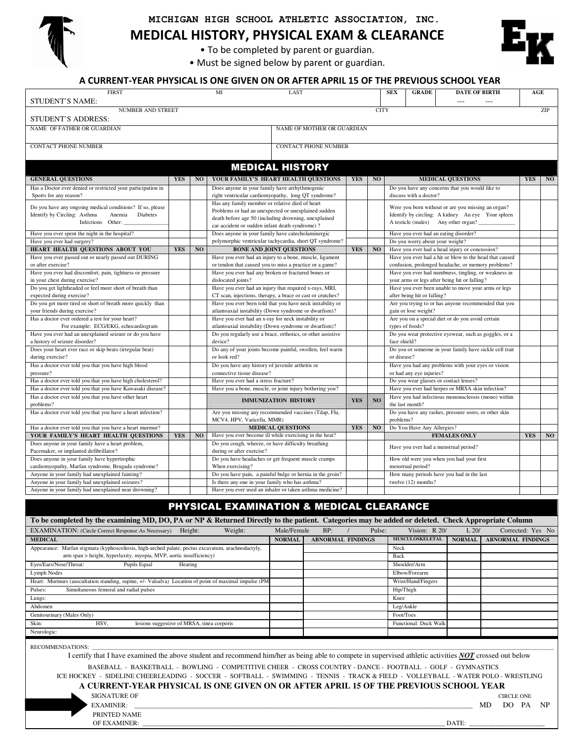

### **MICHIGAN HIGH SCHOOL ATHLETIC ASSOCIATION, INC.**

MEDICAL HISTORY, PHYSICAL EXAM & CLEARANCE

• To be completed by parent or guardian.

• Must be signed below by parent or guardian.



### A CURRENT-YEAR PHYSICAL IS ONE GIVEN ON OR AFTER APRIL 15 OF THE PREVIOUS SCHOOL YEAR

| <b>FIRST</b><br><b>STUDENT'S NAME:</b>                       |            |                | MI<br>LAST                                                  |            |                | <b>SEX</b><br><b>GRADE</b>             | <b>DATE OF BIRTH</b><br>$\overline{a}$<br>$---$         | AGE        |     |
|--------------------------------------------------------------|------------|----------------|-------------------------------------------------------------|------------|----------------|----------------------------------------|---------------------------------------------------------|------------|-----|
| <b>NUMBER AND STREET</b>                                     |            |                |                                                             |            | <b>CITY</b>    |                                        |                                                         |            | ZIP |
| STUDENT'S ADDRESS:                                           |            |                |                                                             |            |                |                                        |                                                         |            |     |
| NAME OF FATHER OR GUARDIAN                                   |            |                | NAME OF MOTHER OR GUARDIAN                                  |            |                |                                        |                                                         |            |     |
| <b>CONTACT PHONE NUMBER</b>                                  |            |                | <b>CONTACT PHONE NUMBER</b>                                 |            |                |                                        |                                                         |            |     |
|                                                              |            |                | <b>MEDICAL HISTORY</b>                                      |            |                |                                        |                                                         |            |     |
| <b>GENERAL QUESTIONS</b>                                     | <b>YES</b> | NO             | YOUR FAMILY'S HEART HEALTH QUESTIONS                        | <b>YES</b> | N <sub>O</sub> |                                        | <b>MEDICAL QUESTIONS</b>                                | <b>YES</b> | NO  |
| Has a Doctor ever denied or restricted your participation in |            |                | Does anyone in your family have arrhythmogenic              |            |                |                                        | Do you have any concerns that you would like to         |            |     |
| Sports for any reason?                                       |            |                | right ventricular cardiomyopathy, long QT syndrome?         |            |                | discuss with a doctor?                 |                                                         |            |     |
|                                                              |            |                | Has any family member or relative died of heart             |            |                |                                        |                                                         |            |     |
| Do you have any ongoing medical conditions? If so, please    |            |                | Problems or had an unexpected or unexplained sudden         |            |                |                                        | Were you born without or are you missing an organ?      |            |     |
| Identify by Circling: Asthma<br>Anemia<br>Diabetes           |            |                | death before age 50 (including drowning, unexplained        |            |                |                                        | Identify by circling: A kidney An eye Your spleen       |            |     |
| Infections Other:                                            |            |                | car accident or sudden infant death syndrome)?              |            |                |                                        | A testicle (males) Any other organ?                     |            |     |
| Have you ever spent the night in the hospital?               |            |                | Does anyone in your family have catecholaminergic           |            |                | Have you ever had an eating disorder?  |                                                         |            |     |
| Have you ever had surgery?                                   |            |                | polymorphic ventricular tachycardia, short QT syndrome?     |            |                | Do you worry about your weight?        |                                                         |            |     |
| HEART HEALTH QUESTIONS ABOUT YOU                             | <b>YES</b> | N <sub>O</sub> | <b>BONE AND JOINT QUESTIONS</b>                             | <b>YES</b> | N <sub>O</sub> |                                        | Have you ever had a head injury or concussion?          |            |     |
| Have you ever passed out or nearly passed out DURING         |            |                | Have you ever had an injury to a bone, muscle, ligament     |            |                |                                        | Have you ever had a hit or blow to the head that caused |            |     |
| or after exercise?                                           |            |                | or tendon that caused you to miss a practice or a game?     |            |                |                                        | confusion, prolonged headache, or memory problems?      |            |     |
| Have you ever had discomfort, pain, tightness or pressure    |            |                | Have you ever had any broken or fractured bones or          |            |                |                                        | Have you ever had numbness, tingling, or weakness in    |            |     |
| in your chest during exercise?                               |            |                | dislocated joints?                                          |            |                |                                        | your arms or legs after being hit or falling?           |            |     |
| Do you get lightheaded or feel more short of breath than     |            |                | Have you ever had an injury that required x-rays, MRI,      |            |                |                                        | Have you ever been unable to move your arms or legs     |            |     |
| expected during exercise?                                    |            |                | CT scan, injections, therapy, a brace or cast or crutches?  |            |                | after being hit or falling?            |                                                         |            |     |
| Do you get more tired or short of breath more quickly than   |            |                | Have you ever been told that you have neck instability or   |            |                |                                        | Are you trying to or has anyone recommended that you    |            |     |
| your friends during exercise?                                |            |                | atlantoaxial instability (Down syndrome or dwarfism)?       |            |                | gain or lose weight?                   |                                                         |            |     |
| Has a doctor ever ordered a test for your heart?             |            |                | Have you ever had an x-ray for neck instability or          |            |                |                                        | Are you on a special diet or do you avoid certain       |            |     |
| For example: ECG/EKG, echocardiogram                         |            |                | atlantoaxial instability (Down syndrome or dwarfism)?       |            |                | types of foods?                        |                                                         |            |     |
| Have you ever had an unexplained seizure or do you have      |            |                | Do you regularly use a brace, orthotics, or other assistive |            |                |                                        | Do you wear protective eyewear, such as goggles, or a   |            |     |
| a history of seizure disorder?                               |            |                | device?                                                     |            |                | face shield?                           |                                                         |            |     |
| Does your heart ever race or skip beats (irregular beat)     |            |                | Do any of your joints become painful, swollen, feel warm    |            |                |                                        | Do you or someone in your family have sickle cell trait |            |     |
| during exercise?                                             |            |                | or look red?                                                |            |                | or disease?                            |                                                         |            |     |
| Has a doctor ever told you that you have high blood          |            |                | Do you have any history of juvenile arthritis or            |            |                |                                        | Have you had any problems with your eyes or vision      |            |     |
| pressure?                                                    |            |                | connective tissue disease?                                  |            |                | or had any eye injuries?               |                                                         |            |     |
| Has a doctor ever told you that you have high cholesterol?   |            |                | Have you ever had a stress fracture?                        |            |                | Do you wear glasses or contact lenses? |                                                         |            |     |
| Has a doctor ever told you that you have Kawasaki disease?   |            |                | Have you a bone, muscle, or joint injury bothering you?     |            |                |                                        | Have you ever had herpes or MRSA skin infection?        |            |     |
| Has a doctor ever told you that you have other heart         |            |                |                                                             | <b>YES</b> | NO             |                                        | Have you had infectious mononucleosis (mono) within     |            |     |
| problems?                                                    |            |                | <b>IMMUNIZATION HISTORY</b>                                 |            |                | the last month?                        |                                                         |            |     |
| Has a doctor ever told you that you have a heart infection?  |            |                | Are you missing any recommended vaccines (Tdap, Flu,        |            |                |                                        | Do you have any rashes, pressure sores, or other skin   |            |     |
|                                                              |            |                | MCV4, HPV, Varicella, MMR)                                  |            |                | problems?                              |                                                         |            |     |
| Has a doctor ever told you that you have a heart murmur?     |            |                | <b>MEDICAL QUESTIONS</b>                                    | <b>YES</b> | N <sub>0</sub> | Do You Have Any Allergies?             |                                                         |            |     |
| YOUR FAMILY'S HEART HEALTH QUESTIONS                         | <b>YES</b> | N <sub>O</sub> | Have you ever become ill while exercising in the heat?      |            |                |                                        | <b>FEMALES ONLY</b>                                     | <b>YES</b> | NO  |
| Does anyone in your family have a heart problem,             |            |                | Do you cough, wheeze, or have difficulty breathing          |            |                | Have you ever had a menstrual period?  |                                                         |            |     |
| Pacemaker, or implanted defibrillator?                       |            |                | during or after exercise?                                   |            |                |                                        |                                                         |            |     |
| Does anyone in your family have hypertrophic                 |            |                | Do you have headaches or get frequent muscle cramps         |            |                |                                        | How old were you when you had your first                |            |     |
| cardiomyopathy, Marfan syndrome, Brugada syndrome?           |            |                | When exercising?                                            |            |                | menstrual period?                      |                                                         |            |     |
| Anyone in your family had unexplained fainting?              |            |                | Do you have pain, a painful bulge or hernia in the groin?   |            |                |                                        | How many periods have you had in the last               |            |     |
| Anyone in your family had unexplained seizures?              |            |                | Is there any one in your family who has asthma?             |            |                | twelve (12) months?                    |                                                         |            |     |
| Anyone in your family had unexplained near drowning?         |            |                | Have you ever used an inhaler or taken asthma medicine?     |            |                |                                        |                                                         |            |     |
|                                                              |            |                |                                                             |            |                |                                        |                                                         |            |     |

| To be completed by the examining MD, DO, PA or NP & Returned Directly to the patient. Categories may be added or deleted. Check Appropriate Column |               |                          |                           |               |                          |
|----------------------------------------------------------------------------------------------------------------------------------------------------|---------------|--------------------------|---------------------------|---------------|--------------------------|
| <b>EXAMINATION:</b> (Circle Correct Response As Necessary)<br>Weight:<br>Height:                                                                   | Male/Female   | BP:                      | Vision: $R$ 20/<br>Pulse: | L20/          | Corrected: Yes No        |
| <b>MEDICAL</b>                                                                                                                                     | <b>NORMAL</b> | <b>ABNORMAL FINDINGS</b> | <b>MUSCULOSKELETAL</b>    | <b>NORMAL</b> | <b>ABNORMAL FINDINGS</b> |
| Appearance: Marfan stigmata (kyphoscoliosis, high-arched palate, pectus excavatum, arachnodactyly,                                                 |               |                          | Neck                      |               |                          |
| arm span > height, hyperlaxity, myopia, MVP, aortic insufficiency)                                                                                 |               |                          | Back                      |               |                          |
| Eyes/Ears/Nose/Throat:<br>Pupils Equal<br>Hearing                                                                                                  |               |                          | Shoulder/Arm              |               |                          |
| Lymph Nodes                                                                                                                                        |               |                          | Elbow/Forearm             |               |                          |
| Heart: Murmurs (auscultation standing, supine, +/- Valsalva) Location of point of maximal impulse (PM                                              |               |                          | Wrist/Hand/Fingers        |               |                          |
| Simultaneous femoral and radial pulses<br>Pulses:                                                                                                  |               |                          | Hip/Thigh                 |               |                          |
| Lungs:                                                                                                                                             |               |                          | Knee                      |               |                          |
| Abdomen                                                                                                                                            |               |                          | Leg/Ankle                 |               |                          |
| Genitourinary (Males Only)                                                                                                                         |               |                          | Foot/Toes                 |               |                          |
| Skin:<br>lesions suggestive of MRSA, tinea corporis<br>HSV,                                                                                        |               |                          | Functional: Duck Walk     |               |                          |
| Neurologic:                                                                                                                                        |               |                          |                           |               |                          |

RECOMMENDATIONS:

I certify that I have examined the above student and recommend him/her as being able to compete in supervised athletic activities *NOT* crossed out below

BASEBALL - BASKETBALL - BOWLING - COMPETITIVE CHEER - CROSS COUNTRY - DANCE - FOOTBALL - GOLF - GYMNASTICS

 ICE HOCKEY - SIDELINE CHEERLEADING - SOCCER - SOFTBALL - SWIMMING - TENNIS - TRACK & FIELD - VOLLEYBALL - WATER POLO - WRESTLING  **A CURRENT-YEAR PHYSICAL IS ONE GIVEN ON OR AFTER APRIL 15 OF THE PREVIOUS SCHOOL YEAR** 

SIGNATURE OF CIRCLE ONE EXAMINER: \_\_\_\_\_\_\_\_\_\_\_\_\_\_\_\_\_\_\_\_\_\_\_\_\_\_\_\_\_\_\_\_\_\_\_\_\_\_\_\_\_\_\_\_\_\_\_\_\_\_\_\_\_\_\_\_\_\_\_\_\_\_\_\_\_\_\_\_\_\_\_\_\_\_\_\_\_\_\_\_\_\_\_\_\_\_\_\_\_\_\_\_\_\_\_\_\_\_\_\_\_\_\_ MD DO PA NP PRINTED NAME

OF EXAMINER: \_\_\_\_\_\_\_\_\_\_\_\_\_\_\_\_\_\_\_\_\_\_\_\_\_\_\_\_\_\_\_\_\_\_\_\_\_\_\_\_\_\_\_\_\_\_\_\_\_\_\_\_\_\_\_\_\_\_\_\_\_\_\_\_\_\_\_\_\_\_\_\_\_\_\_\_\_\_\_\_\_\_\_\_\_\_\_\_\_\_\_\_ DATE: \_\_\_\_\_\_\_\_\_\_\_\_\_\_\_\_\_\_\_\_\_\_\_